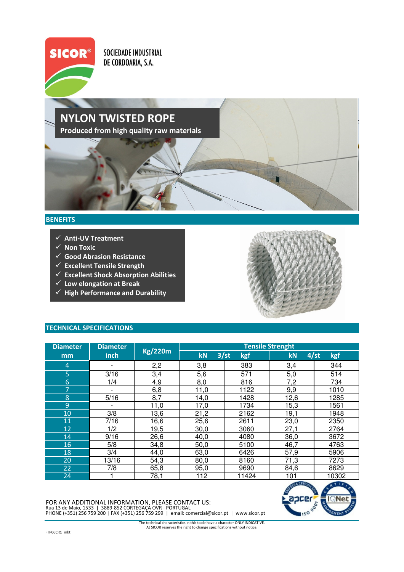

SOCIEDADE INDUSTRIAL DE CORDOARIA, S.A.

## NYLON TWISTED ROPE Produced from high quality raw materials

## **BENEFITS**

- $\checkmark$  Anti-UV Treatment
- $\checkmark$  Non Toxic
- $\checkmark$  Good Abrasion Resistance
- $\checkmark$  Excellent Tensile Strength
- $\checkmark$  Excellent Shock Absorption Abilities
- $\checkmark$  Low elongation at Break
- $\checkmark$  High Performance and Durability



## TECHNICAL SPECIFICATIONS

| <b>Diameter</b> | <b>Diameter</b> |                | <b>Tensile Strenght</b> |             |                   |       |
|-----------------|-----------------|----------------|-------------------------|-------------|-------------------|-------|
| mm              | inch            | <b>Kg/220m</b> | kN                      | 3/st<br>kgf | 4/st<br>kgf<br>kN |       |
| $\overline{4}$  |                 | 2,2            | 3,8                     | 383         | 3,4               | 344   |
| 5               | 3/16            | 3,4            | 5,6                     | 571         | 5,0               | 514   |
| 6               | 1/4             | 4,9            | 8,0                     | 816         | 7,2               | 734   |
| 7               | ۰               | 6,8            | 11,0                    | 1122        | 9,9               | 1010  |
| 8               | 5/16            | 8,7            | 14,0                    | 1428        | 12,6              | 1285  |
| 9               |                 | 11,0           | 17,0                    | 1734        | 15,3              | 1561  |
| 10              | 3/8             | 13,6           | 21,2                    | 2162        | 19,1              | 1948  |
| 11              | 7/16            | 16,6           | 25,6                    | 2611        | 23,0              | 2350  |
| 12              | 1/2             | 19,5           | 30,0                    | 3060        | 27,1              | 2764  |
| 14              | 9/16            | 26,6           | 40,0                    | 4080        | 36,0              | 3672  |
| 16              | 5/8             | 34,8           | 50,0                    | 5100        | 46,7              | 4763  |
| 18              | 3/4             | 44,0           | 63,0                    | 6426        | 57,9              | 5906  |
| 20              | 13/16           | 54,3           | 80,0                    | 8160        | 71,3              | 7273  |
| 22              | 7/8             | 65,8           | 95,0                    | 9690        | 84,6              | 8629  |
| 24              |                 | 78,1           | 112                     | 11424       | 101               | 10302 |

FOR ANY ADDITIONAL INFORMATION, PLEASE CONTACT US:<br>Rua 13 de Maio, 1533 | 3889-852 CORTEGAÇA OVR - PORTUGAL<br>PHONE (+351) 256 759 200 | FAX (+351) 256 759 299 | email: comercial@sicor.pt | www.sicor.pt



At SICOR reserves the right to change specifications without notice. The technical characteristics in this table have a character ONLY INDICATIVE.